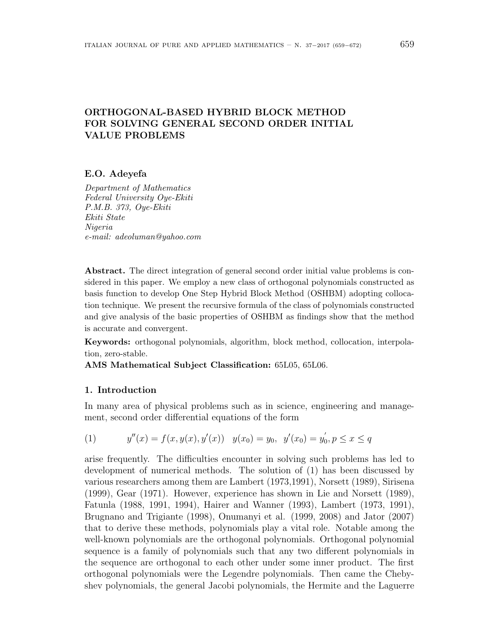# ORTHOGONAL-BASED HYBRID BLOCK METHOD FOR SOLVING GENERAL SECOND ORDER INITIAL VALUE PROBLEMS

# E.O. Adeyefa

Department of Mathematics Federal University Oye-Ekiti P.M.B. 373, Oye-Ekiti Ekiti State Nigeria e-mail: adeoluman@yahoo.com

Abstract. The direct integration of general second order initial value problems is considered in this paper. We employ a new class of orthogonal polynomials constructed as basis function to develop One Step Hybrid Block Method (OSHBM) adopting collocation technique. We present the recursive formula of the class of polynomials constructed and give analysis of the basic properties of OSHBM as findings show that the method is accurate and convergent.

Keywords: orthogonal polynomials, algorithm, block method, collocation, interpolation, zero-stable.

AMS Mathematical Subject Classification: 65L05, 65L06.

# 1. Introduction

In many area of physical problems such as in science, engineering and management, second order differential equations of the form

(1) 
$$
y''(x) = f(x, y(x), y'(x)) \quad y(x_0) = y_0, \ \ y'(x_0) = y'_0, p \le x \le q
$$

arise frequently. The difficulties encounter in solving such problems has led to development of numerical methods. The solution of (1) has been discussed by various researchers among them are Lambert (1973,1991), Norsett (1989), Sirisena (1999), Gear (1971). However, experience has shown in Lie and Norsett (1989), Fatunla (1988, 1991, 1994), Hairer and Wanner (1993), Lambert (1973, 1991), Brugnano and Trigiante (1998), Onumanyi et al. (1999, 2008) and Jator (2007) that to derive these methods, polynomials play a vital role. Notable among the well-known polynomials are the orthogonal polynomials. Orthogonal polynomial sequence is a family of polynomials such that any two different polynomials in the sequence are orthogonal to each other under some inner product. The first orthogonal polynomials were the Legendre polynomials. Then came the Chebyshev polynomials, the general Jacobi polynomials, the Hermite and the Laguerre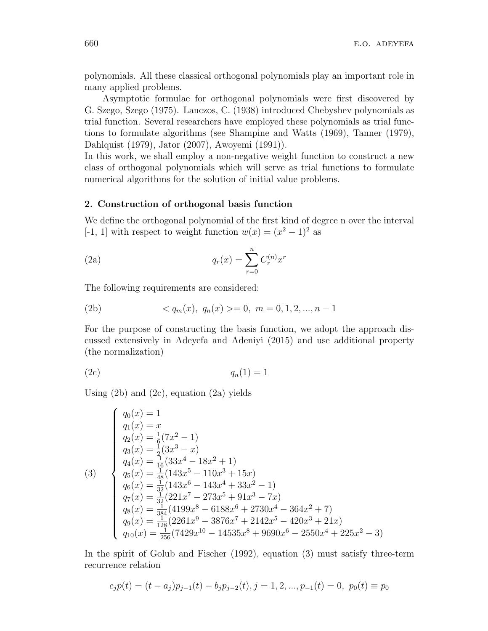polynomials. All these classical orthogonal polynomials play an important role in many applied problems.

Asymptotic formulae for orthogonal polynomials were first discovered by G. Szego, Szego (1975). Lanczos, C. (1938) introduced Chebyshev polynomials as trial function. Several researchers have employed these polynomials as trial functions to formulate algorithms (see Shampine and Watts (1969), Tanner (1979), Dahlquist (1979), Jator (2007), Awoyemi (1991)).

In this work, we shall employ a non-negative weight function to construct a new class of orthogonal polynomials which will serve as trial functions to formulate numerical algorithms for the solution of initial value problems.

## 2. Construction of orthogonal basis function

We define the orthogonal polynomial of the first kind of degree n over the interval [-1, 1] with respect to weight function  $w(x) = (x^2 - 1)^2$  as

(2a) 
$$
q_r(x) = \sum_{r=0}^{n} C_r^{(n)} x^r
$$

The following requirements are considered:

(2b) 
$$
\langle q_m(x), q_n(x) \rangle = 0, \ m = 0, 1, 2, ..., n-1
$$

For the purpose of constructing the basis function, we adopt the approach discussed extensively in Adeyefa and Adeniyi (2015) and use additional property (the normalization)

$$
(2c) \t\t q_n(1) = 1
$$

Using  $(2b)$  and  $(2c)$ , equation  $(2a)$  yields

$$
\begin{cases}\nq_0(x) = 1 \\
q_1(x) = x \\
q_2(x) = \frac{1}{6}(7x^2 - 1) \\
q_3(x) = \frac{1}{2}(3x^3 - x) \\
q_4(x) = \frac{1}{16}(33x^4 - 18x^2 + 1) \\
q_5(x) = \frac{1}{48}(143x^5 - 110x^3 + 15x) \\
q_6(x) = \frac{1}{32}(143x^6 - 143x^4 + 33x^2 - 1) \\
q_7(x) = \frac{1}{32}(221x^7 - 273x^5 + 91x^3 - 7x) \\
q_8(x) = \frac{1}{384}(4199x^8 - 6188x^6 + 2730x^4 - 364x^2 + 7) \\
q_9(x) = \frac{1}{128}(2261x^9 - 3876x^7 + 2142x^5 - 420x^3 + 21x) \\
q_{10}(x) = \frac{1}{256}(7429x^{10} - 14535x^8 + 9690x^6 - 2550x^4 + 225x^2 - 3)\n\end{cases}
$$

In the spirit of Golub and Fischer (1992), equation (3) must satisfy three-term recurrence relation

$$
c_j p(t) = (t - a_j)p_{j-1}(t) - b_j p_{j-2}(t), j = 1, 2, ..., p_{-1}(t) = 0, p_0(t) \equiv p_0
$$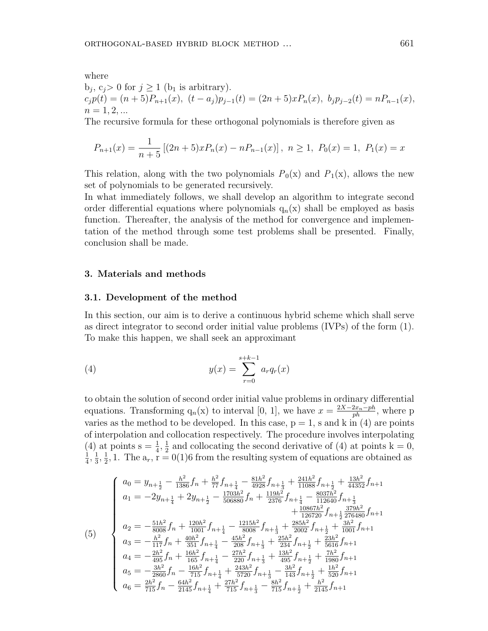where

$$
b_j, c_j > 0 \text{ for } j \ge 1 \text{ (b) is arbitrary.}
$$
  
\n
$$
c_j p(t) = (n+5)P_{n+1}(x), (t-a_j)p_{j-1}(t) = (2n+5)xP_n(x), b_j p_{j-2}(t) = nP_{n-1}(x),
$$
  
\n
$$
n = 1, 2, ...
$$

The recursive formula for these orthogonal polynomials is therefore given as

$$
P_{n+1}(x) = \frac{1}{n+5} \left[ (2n+5)xP_n(x) - nP_{n-1}(x) \right], \ n \ge 1, \ P_0(x) = 1, \ P_1(x) = x
$$

This relation, along with the two polynomials  $P_0(x)$  and  $P_1(x)$ , allows the new set of polynomials to be generated recursively.

In what immediately follows, we shall develop an algorithm to integrate second order differential equations where polynomials  $q_n(x)$  shall be employed as basis function. Thereafter, the analysis of the method for convergence and implementation of the method through some test problems shall be presented. Finally, conclusion shall be made.

## 3. Materials and methods

## 3.1. Development of the method

In this section, our aim is to derive a continuous hybrid scheme which shall serve as direct integrator to second order initial value problems (IVPs) of the form (1). To make this happen, we shall seek an approximant

(4) 
$$
y(x) = \sum_{r=0}^{s+k-1} a_r q_r(x)
$$

to obtain the solution of second order initial value problems in ordinary differential equations. Transforming  $q_n(x)$  to interval [0, 1], we have  $x = \frac{2X-2x_n-ph}{ph}$ , where p varies as the method to be developed. In this case,  $p = 1$ , s and k in (4) are points of interpolation and collocation respectively. The procedure involves interpolating (4) at points  $s = \frac{1}{4}, \frac{1}{2}$  $\frac{1}{2}$  and collocating the second derivative of (4) at points  $k = 0$ ,  $\frac{1}{4}, \frac{1}{3}$  $\frac{1}{3}, \frac{1}{2}$  $\frac{1}{2}$ , 1. The  $a_r$ ,  $r = 0(1)6$  from the resulting system of equations are obtained as

$$
(5)
$$
\n
$$
\begin{cases}\na_0 = y_{n+\frac{1}{2}} - \frac{h^2}{1386} f_n + \frac{h^2}{77} f_{n+\frac{1}{4}} - \frac{81h^2}{4928} f_{n+\frac{1}{3}} + \frac{241h^2}{11088} f_{n+\frac{1}{2}} + \frac{13h^2}{44352} f_{n+1} \\
a_1 = -2y_{n+\frac{1}{4}} + 2y_{n+\frac{1}{2}} - \frac{1703h^2}{506880} f_n + \frac{119h^2}{2376} f_{n+\frac{1}{4}} - \frac{8037h^2}{112640} f_{n+\frac{1}{3}} \\
+ \frac{10867h^2}{126720} f_{n+\frac{1}{2}} \frac{379h^2}{276480} f_{n+1} \\
a_2 = -\frac{51h^2}{8008} f_n + \frac{120h^2}{1001} f_{n+\frac{1}{4}} - \frac{1215h^2}{8008} f_{n+\frac{1}{3}} + \frac{285h^2}{2002} f_{n+\frac{1}{2}} + \frac{3h^2}{1001} f_{n+1} \\
a_3 = -\frac{h^2}{117} f_n + \frac{40h^2}{351} f_{n+\frac{1}{4}} - \frac{45h^2}{208} f_{n+\frac{1}{3}} + \frac{25h^2}{234} f_{n+\frac{1}{2}} + \frac{23h^2}{5616} f_{n+1} \\
a_4 = -\frac{2h^2}{495} f_n + \frac{16h^2}{165} f_{n+\frac{1}{4}} - \frac{27h^2}{220} f_{n+\frac{1}{3}} + \frac{13h^2}{495} f_{n+\frac{1}{2}} + \frac{7h^2}{1980} f_{n+1} \\
a_5 = -\frac{3h^2}{2860} f_n - \frac{16h^2}{715} f_{n+\frac{1}{4}} + \frac{243h^2}{5720} f_{n+\frac{1}{3}} - \frac{3h^2}{143} f_{n+\frac{1}{2}} + \frac{1h^2}{520} f_{n+1} \\
a
$$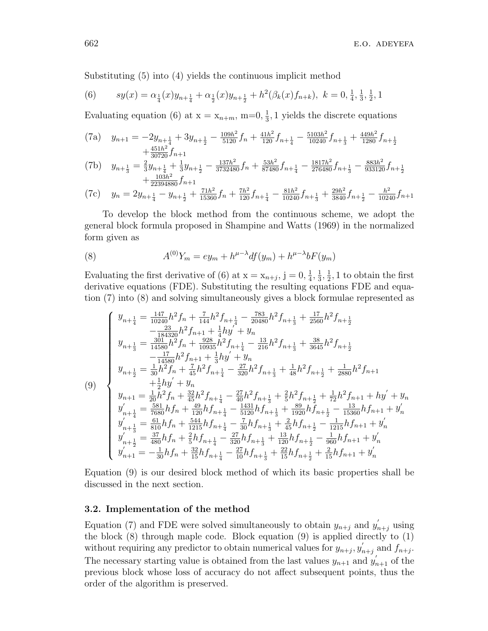Substituting (5) into (4) yields the continuous implicit method

(6) 
$$
sy(x) = \alpha_{\frac{1}{4}}(x)y_{n+\frac{1}{4}} + \alpha_{\frac{1}{2}}(x)y_{n+\frac{1}{2}} + h^2(\beta_k(x)f_{n+k}), \ k = 0, \frac{1}{4}, \frac{1}{3}, \frac{1}{2}, 1
$$

Evaluating equation (6) at  $x = x_{n+m}$ , m=0,  $\frac{1}{3}$  $\frac{1}{3}$ , 1 yields the discrete equations

(7a) 
$$
y_{n+1} = -2y_{n+\frac{1}{4}} + 3y_{n+\frac{1}{2}} - \frac{109h^2}{5120}f_n + \frac{41h^2}{120}f_{n+\frac{1}{4}} - \frac{5103h^2}{10240}f_{n+\frac{1}{3}} + \frac{449h^2}{1280}f_{n+\frac{1}{2}} + \frac{451h^2}{30720}f_{n+1}
$$

(7b) 
$$
y_{n+\frac{1}{3}} = \frac{2}{3}y_{n+\frac{1}{4}} + \frac{1}{3}y_{n+\frac{1}{2}} - \frac{137h^2}{3732480}f_n + \frac{53h^2}{87480}f_{n+\frac{1}{4}} - \frac{1817h^2}{276480}f_{n+\frac{1}{3}} - \frac{883h^2}{933120}f_{n+\frac{1}{2}} + \frac{103h^2}{22394880}f_{n+1}
$$

(7c) 
$$
y_n = 2y_{n+\frac{1}{4}} - y_{n+\frac{1}{2}} + \frac{71h^2}{15360}f_n + \frac{7h^2}{120}f_{n+\frac{1}{4}} - \frac{81h^2}{10240}f_{n+\frac{1}{3}} + \frac{29h^2}{3840}f_{n+\frac{1}{2}} - \frac{h^2}{10240}f_{n+1}
$$

To develop the block method from the continuous scheme, we adopt the general block formula proposed in Shampine and Watts (1969) in the normalized form given as

(8) 
$$
A^{(0)}Y_m = ey_m + h^{\mu-\lambda}df(y_m) + h^{\mu-\lambda}bF(y_m)
$$

Evaluating the first derivative of (6) at  $x = x_{n+j}$ ,  $j = 0, \frac{1}{4}$  $\frac{1}{4}$ ,  $\frac{1}{3}$  $\frac{1}{3}, \frac{1}{2}$  $\frac{1}{2}$ , 1 to obtain the first derivative equations (FDE). Substituting the resulting equations FDE and equation (7) into (8) and solving simultaneously gives a block formulae represented as

$$
\begin{cases}\ny_{n+\frac{1}{4}} = \frac{147}{10240}h^2f_n + \frac{7}{144}h^2f_{n+\frac{1}{4}} - \frac{783}{20480}h^2f_{n+\frac{1}{3}} + \frac{17}{2560}h^2f_{n+\frac{1}{2}} \\
-\frac{23}{184320}h^2f_{n+1} + \frac{1}{4}hy' + y_n \\
y_{n+\frac{1}{3}} = \frac{301}{14580}h^2f_n + \frac{928}{10935}h^2f_{n+\frac{1}{4}} - \frac{13}{216}h^2f_{n+\frac{1}{3}} + \frac{38}{3645}h^2f_{n+\frac{1}{2}} \\
-\frac{17}{14580}h^2f_{n+1} + \frac{1}{3}hy' + y_n \\
y_{n+\frac{1}{2}} = \frac{1}{30}h^2f_n + \frac{7}{45}h^2f_{n+\frac{1}{4}} - \frac{27}{320}h^2f_{n+\frac{1}{3}} + \frac{1}{48}h^2f_{n+\frac{1}{2}} + \frac{1}{2880}h^2f_{n+1} \\
y'_{n+\frac{1}{2}} = \frac{1}{20}h^2f_n + \frac{32}{45}h^2f_{n+\frac{1}{4}} - \frac{27}{40}h^2f_{n+\frac{1}{3}} + \frac{2}{5}h^2f_{n+\frac{1}{2}} + \frac{1}{72}h^2f_{n+1} + hy' + y_n \\
y'_{n+\frac{1}{4}} = \frac{581}{7680}hf_n + \frac{49}{120}hf_{n+\frac{1}{4}} - \frac{1431}{5120}hf_{n+\frac{1}{3}} + \frac{89}{1920}hf_{n+\frac{1}{2}} - \frac{13}{15360}hf_{n+1} + y'_n \\
y'_{n+\frac{1}{3}} = \frac{61}{810}hf_n + \frac{544}{1215}hf_{n+\frac{1}{4}} - \frac{7}{30}hf_{n+\frac{1}{3}} + \frac{2}{45}hf_{n+\frac{1}{2}} - \frac{1}{1215}hf_{n+1} + y'_n \\
y'_{n+\frac{1}{2}} = \frac{37}{4
$$

Equation (9) is our desired block method of which its basic properties shall be discussed in the next section.

#### 3.2. Implementation of the method

Equation (7) and FDE were solved simultaneously to obtain  $y_{n+j}$  and  $y'_{n+j}$  using the block  $(8)$  through maple code. Block equation  $(9)$  is applied directly to  $(1)$ without requiring any predictor to obtain numerical values for  $y_{n+j}, y'_n$  $n_{j}$  and  $f_{n+j}$ . The necessary starting value is obtained from the last values  $y_{n+1}$  and  $y'_{n+1}$  of the previous block whose loss of accuracy do not affect subsequent points, thus the order of the algorithm is preserved.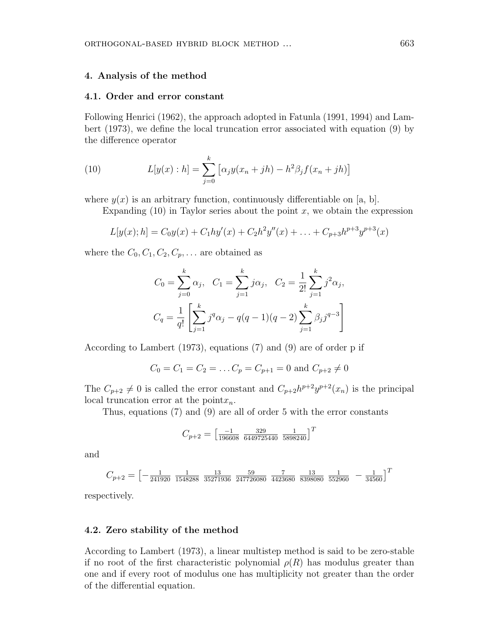### 4. Analysis of the method

#### 4.1. Order and error constant

Following Henrici (1962), the approach adopted in Fatunla (1991, 1994) and Lambert (1973), we define the local truncation error associated with equation (9) by the difference operator

(10) 
$$
L[y(x):h] = \sum_{j=0}^{k} [\alpha_j y(x_n + jh) - h^2 \beta_j f(x_n + jh)]
$$

where  $y(x)$  is an arbitrary function, continuously differentiable on [a, b].

Expanding  $(10)$  in Taylor series about the point x, we obtain the expression

$$
L[y(x);h] = C_0y(x) + C_1hy'(x) + C_2h^2y''(x) + \ldots + C_{p+3}h^{p+3}y^{p+3}(x)
$$

where the  $C_0, C_1, C_2, C_p, \ldots$  are obtained as

$$
C_0 = \sum_{j=0}^k \alpha_j, \quad C_1 = \sum_{j=1}^k j \alpha_j, \quad C_2 = \frac{1}{2!} \sum_{j=1}^k j^2 \alpha_j,
$$

$$
C_q = \frac{1}{q!} \left[ \sum_{j=1}^k j^q \alpha_j - q(q-1)(q-2) \sum_{j=1}^k \beta_j j^{q-3} \right]
$$

According to Lambert (1973), equations (7) and (9) are of order p if

$$
C_0 = C_1 = C_2 = \dots C_p = C_{p+1} = 0
$$
 and  $C_{p+2} \neq 0$ 

The  $C_{p+2} \neq 0$  is called the error constant and  $C_{p+2}h^{p+2}y^{p+2}(x_n)$  is the principal local truncation error at the point $x_n$ .

Thus, equations (7) and (9) are all of order 5 with the error constants

$$
C_{p+2} = \begin{bmatrix} \frac{-1}{196608} & \frac{329}{6449725440} & \frac{1}{5898240} \end{bmatrix}^T
$$

and

$$
C_{p+2} = \begin{bmatrix} -\frac{1}{241920} & \frac{1}{1548288} & \frac{13}{35271936} & \frac{59}{247726080} & \frac{7}{4423680} & \frac{13}{8398080} & \frac{1}{552960} & -\frac{1}{34560} \end{bmatrix}^T
$$

respectively.

## 4.2. Zero stability of the method

According to Lambert (1973), a linear multistep method is said to be zero-stable if no root of the first characteristic polynomial  $\rho(R)$  has modulus greater than one and if every root of modulus one has multiplicity not greater than the order of the differential equation.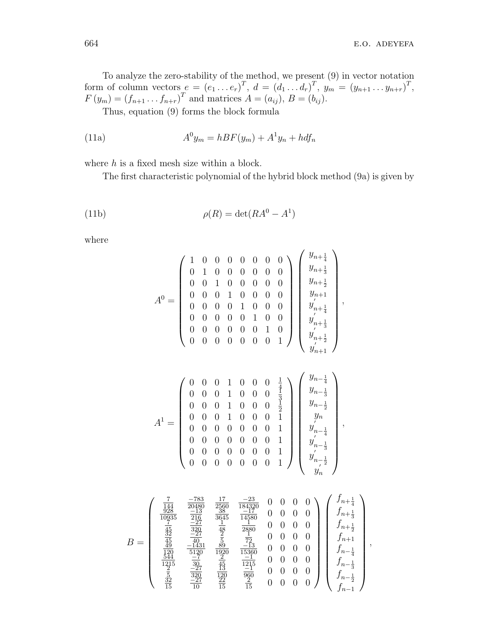To analyze the zero-stability of the method, we present (9) in vector notation form of column vectors  $e = (e_1 \dots e_r)^T$ ,  $d = (d_1 \dots d_r)^T$ ,  $y_m = (y_{n+1} \dots y_{n+r})^T$ ,  $F(y_m) = (f_{n+1} \tcdot f_{n+r})^T$  and matrices  $A = (a_{ij}), B = (b_{ij}).$ 

Thus, equation (9) forms the block formula

(11a) 
$$
A^0 y_m = hBF(y_m) + A^1 y_n + h df_n
$$

where  $h$  is a fixed mesh size within a block.

The first characteristic polynomial of the hybrid block method (9a) is given by

(11b) 
$$
\rho(R) = \det(RA^0 - A^1)
$$

where

$$
A^0 = \begin{pmatrix} 1 & 0 & 0 & 0 & 0 & 0 & 0 & 0 \\ 0 & 1 & 0 & 0 & 0 & 0 & 0 & 0 \\ 0 & 0 & 1 & 0 & 0 & 0 & 0 & 0 \\ 0 & 0 & 0 & 1 & 0 & 0 & 0 & 0 \\ 0 & 0 & 0 & 0 & 1 & 0 & 0 & 0 \\ 0 & 0 & 0 & 0 & 0 & 1 & 0 & 0 \\ 0 & 0 & 0 & 0 & 0 & 0 & 1 & 0 \\ 0 & 0 & 0 & 0 & 0 & 0 & 0 & 1 \end{pmatrix} \begin{pmatrix} y_{n+\frac{1}{2}} \\ y_{n+\frac{1}{2}} \\ y'_{n+\frac{1}{2}} \\ y'_{n+\frac{1}{2}} \\ y'_{n+\frac{1}{2}} \\ y'_{n+\frac{1}{2}} \end{pmatrix},
$$

$$
A^1 = \begin{pmatrix} 0 & 0 & 0 & 1 & 0 & 0 & 0 & \frac{1}{4} \\ 0 & 0 & 0 & 1 & 0 & 0 & 0 & \frac{1}{3} \\ 0 & 0 & 0 & 1 & 0 & 0 & 0 & \frac{1}{2} \\ 0 & 0 & 0 & 1 & 0 & 0 & 0 & 1 \\ 0 & 0 & 0 & 0 & 0 & 0 & 1 \\ 0 & 0 & 0 & 0 & 0 & 0 & 1 \\ 0 & 0 & 0 & 0 & 0 & 0 & 1 \end{pmatrix} \begin{pmatrix} y_{n+\frac{1}{2}} \\ y_{n+\frac{1}{2}} \\ y_{n-\frac{1}{2}} \\ y_{n-\frac{1}{2}} \\ y'_{n-\frac{1}{2}} \\ y'_{n-\frac{1}{3}} \\ y'_{n-\frac{1}{3}} \\ y'_{n-\frac{1}{3}} \\ y'_{n-\frac{1}{3}} \end{pmatrix},
$$

$$
B = \left(\begin{array}{cccc} \frac{7}{144} & \frac{-783}{20480} & \frac{17}{2560} & \frac{-23}{184320} & 0 & 0 & 0 & 0 \\ \frac{928}{10935} & \frac{-13}{216} & \frac{38}{3645} & \frac{-17}{14580} & 0 & 0 & 0 & 0 \\ \frac{7}{10935} & \frac{-27}{216} & \frac{1}{48} & \frac{1}{2880} & 0 & 0 & 0 & 0 \\ \frac{45}{45} & \frac{-27}{40} & \frac{2}{5} & \frac{1}{72} & 0 & 0 & 0 & 0 \\ \frac{49}{49} & \frac{-1431}{5120} & \frac{89}{1920} & \frac{-13}{15360} & 0 & 0 & 0 & 0 \\ \frac{120}{1215} & \frac{-7}{50} & \frac{2}{45} & \frac{-1}{1215} & 0 & 0 & 0 & 0 \\ \frac{2}{15} & \frac{-27}{50} & \frac{13}{13} & \frac{-1}{50} & 0 & 0 & 0 & 0 \\ \frac{2}{5} & \frac{-27}{15} & \frac{13}{120} & \frac{-1}{96} & 0 & 0 & 0 & 0 \\ \frac{32}{15} & \frac{-27}{10} & \frac{12}{15} & \frac{2}{15} & 0 & 0 & 0 & 0 \\ \end{array}\right) \left(\begin{array}{c} f_{n+\frac{1}{4}} \\ f_{n+\frac{1}{2}} \\ f_{n+\frac{1}{4}} \\ f_{n-\frac{1}{4}} \\ f_{n-\frac{1}{4}} \\ f_{n-\frac{1}{2}} \\ f_{n-\frac{1}{2}} \\ f_{n-\frac{1}{2}} \end{array}\right),
$$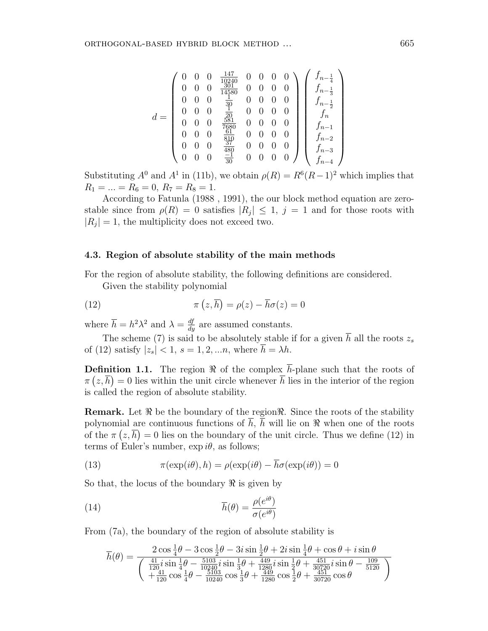$$
d = \left(\begin{array}{cccccc} 0 & 0 & 0 & \frac{147}{10240} & 0 & 0 & 0 & 0 \\ 0 & 0 & 0 & \frac{301}{305} & 0 & 0 & 0 & 0 \\ 0 & 0 & 0 & \frac{1}{30} & 0 & 0 & 0 & 0 \\ 0 & 0 & 0 & \frac{1}{20} & 0 & 0 & 0 & 0 \\ 0 & 0 & 0 & \frac{581}{7680} & 0 & 0 & 0 & 0 \\ 0 & 0 & 0 & \frac{61}{810} & 0 & 0 & 0 & 0 \\ 0 & 0 & 0 & \frac{37}{480} & 0 & 0 & 0 & 0 \\ 0 & 0 & 0 & \frac{37}{480} & 0 & 0 & 0 & 0 \\ 0 & 0 & 0 & \frac{-1}{30} & 0 & 0 & 0 & 0 \end{array}\right) \left(\begin{array}{c} f_{n-\frac{1}{4}} \\ f_{n-\frac{1}{3}} \\ f_{n-\frac{1}{2}} \\ f_{n-\frac{1}{2}} \\ f_{n-1} \\ f_{n-2} \\ f_{n-3} \\ f_{n-4} \end{array}\right)
$$

Substituting  $A^0$  and  $A^1$  in (11b), we obtain  $\rho(R) = R^6(R-1)^2$  which implies that  $R_1 = \ldots = R_6 = 0, R_7 = R_8 = 1.$ 

According to Fatunla (1988 , 1991), the our block method equation are zerostable since from  $\rho(R) = 0$  satisfies  $|R_j| \leq 1$ ,  $j = 1$  and for those roots with  $|R_j|=1$ , the multiplicity does not exceed two.

## 4.3. Region of absolute stability of the main methods

For the region of absolute stability, the following definitions are considered. Given the stability polynomial

(12) 
$$
\pi(z,\overline{h}) = \rho(z) - \overline{h}\sigma(z) = 0
$$

where  $\overline{h} = h^2 \lambda^2$  and  $\lambda = \frac{df}{dy}$  are assumed constants.

The scheme (7) is said to be absolutely stable if for a given  $\overline{h}$  all the roots  $z_s$ of (12) satisfy  $|z_s| < 1$ ,  $s = 1, 2, \ldots n$ , where  $\overline{h} = \lambda h$ .

**Definition 1.1.** The region  $\Re$  of the complex  $\overline{h}$ -plane such that the roots of  $\pi(z,\bar{h})=0$  lies within the unit circle whenever  $\bar{h}$  lies in the interior of the region is called the region of absolute stability.

**Remark.** Let  $\Re$  be the boundary of the region  $\Re$ . Since the roots of the stability polynomial are continuous functions of  $\overline{h}$ ,  $\overline{h}$  will lie on  $\Re$  when one of the roots of the  $\pi(z,\overline{h})=0$  lies on the boundary of the unit circle. Thus we define (12) in terms of Euler's number,  $\exp i\theta$ , as follows;

(13) 
$$
\pi(\exp(i\theta), h) = \rho(\exp(i\theta) - \overline{h}\sigma(\exp(i\theta))) = 0
$$

So that, the locus of the boundary  $\Re$  is given by

(14) 
$$
\overline{h}(\theta) = \frac{\rho(e^{i\theta})}{\sigma(e^{i\theta})}
$$

From (7a), the boundary of the region of absolute stability is

$$
\overline{h}(\theta) = \frac{2\cos\frac{1}{4}\theta - 3\cos\frac{1}{2}\theta - 3i\sin\frac{1}{2}\theta + 2i\sin\frac{1}{4}\theta + \cos\theta + i\sin\theta}{\left(\frac{41}{120}i\sin\frac{1}{4}\theta - \frac{5103}{10240}i\sin\frac{1}{3}\theta + \frac{449}{1280}i\sin\frac{1}{2}\theta + \frac{451}{30720}i\sin\theta - \frac{109}{5120}\right)}
$$
\n
$$
+ \frac{41}{120}\cos\frac{1}{4}\theta - \frac{5103}{10240}\cos\frac{1}{3}\theta + \frac{449}{1280}\cos\frac{1}{2}\theta + \frac{451}{30720}\cos\theta
$$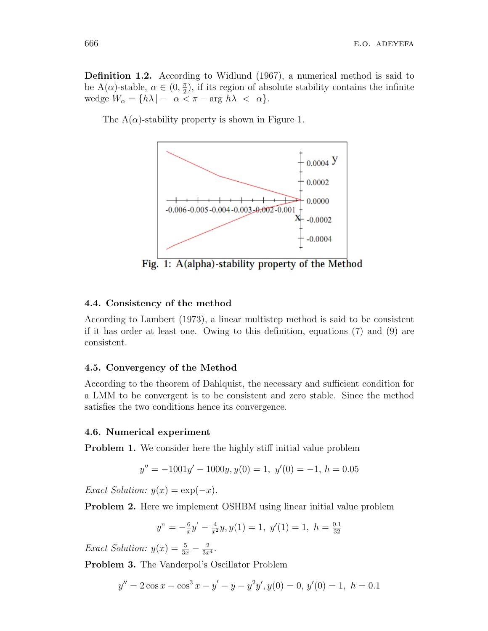Definition 1.2. According to Widlund (1967), a numerical method is said to be A( $\alpha$ )-stable,  $\alpha \in (0, \frac{\pi}{2})$  $\frac{\pi}{2}$ , if its region of absolute stability contains the infinite wedge  $W_{\alpha} = \{h\lambda \mid -\alpha < \pi - \arg h\lambda < \alpha\}.$ 

The  $A(\alpha)$ -stability property is shown in Figure 1.



Fig. 1: A(alpha)-stability property of the Method

## 4.4. Consistency of the method

According to Lambert (1973), a linear multistep method is said to be consistent if it has order at least one. Owing to this definition, equations (7) and (9) are consistent.

# 4.5. Convergency of the Method

According to the theorem of Dahlquist, the necessary and sufficient condition for a LMM to be convergent is to be consistent and zero stable. Since the method satisfies the two conditions hence its convergence.

#### 4.6. Numerical experiment

Problem 1. We consider here the highly stiff initial value problem

$$
y'' = -1001y' - 1000y, y(0) = 1, y'(0) = -1, h = 0.05
$$

Exact Solution:  $y(x) = \exp(-x)$ .

Problem 2. Here we implement OSHBM using linear initial value problem

$$
y'' = -\frac{6}{x}y' - \frac{4}{x^2}y, y(1) = 1, y'(1) = 1, h = \frac{0.1}{32}
$$

Exact Solution:  $y(x) = \frac{5}{3x} - \frac{2}{3x}$  $\frac{2}{3x^4}$ .

Problem 3. The Vanderpol's Oscillator Problem

$$
y'' = 2\cos x - \cos^3 x - y' - y - y^2y', y(0) = 0, y'(0) = 1, h = 0.1
$$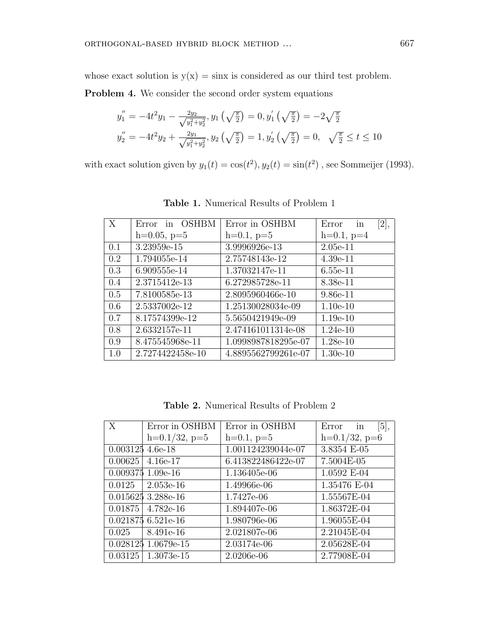whose exact solution is  $y(x) = \sin x$  is considered as our third test problem.

Problem 4. We consider the second order system equations

$$
y_1'' = -4t^2y_1 - \frac{2y_2}{\sqrt{y_1^2 + y_2^2}}, y_1(\sqrt{\frac{\pi}{2}}) = 0, y_1'(\sqrt{\frac{\pi}{2}}) = -2\sqrt{\frac{\pi}{2}}
$$
  

$$
y_2'' = -4t^2y_2 + \frac{2y_1}{\sqrt{y_1^2 + y_2^2}}, y_2(\sqrt{\frac{\pi}{2}}) = 1, y_2'(\sqrt{\frac{\pi}{2}}) = 0, \sqrt{\frac{\pi}{2}} \le t \le 10
$$

with exact solution given by  $y_1(t) = \cos(t^2)$ ,  $y_2(t) = \sin(t^2)$ , see Sommeijer (1993).

| X   | Error in OSHBM   | Error in OSHBM      | [2],<br>in<br>Error |
|-----|------------------|---------------------|---------------------|
|     | $h=0.05, p=5$    | $h=0.1, p=5$        | $h=0.1, p=4$        |
| 0.1 | 3.23959e-15      | 3.9996926e-13       | $2.05e-11$          |
| 0.2 | 1.794055e-14     | 2.75748143e-12      | $4.39e-11$          |
| 0.3 | 6.909555e-14     | 1.37032147e-11      | $6.55e-11$          |
| 0.4 | 2.3715412e-13    | 6.272985728e-11     | 8.38e-11            |
| 0.5 | 7.8100585e-13    | 2.8095960466e-10    | $9.86 - 11$         |
| 0.6 | 2.5337002e-12    | 1.25130028034e-09   | $1.10e-10$          |
| 0.7 | 8.17574399e-12   | 5.5650421949e-09    | $1.19e-10$          |
| 0.8 | 2.6332157e-11    | 2.474161011314e-08  | $1.24e-10$          |
| 0.9 | 8.475545968e-11  | 1.0998987818295e-07 | $1.28e-10$          |
| 1.0 | 2.7274422458e-10 | 4.8895562799261e-07 | $1.30e-10$          |

Table 1. Numerical Results of Problem 1

Table 2. Numerical Results of Problem 2

| X                  | Error in OSHBM      | Error in OSHBM     | Error in<br>[5],   |
|--------------------|---------------------|--------------------|--------------------|
|                    | $h=0.1/32$ , $p=5$  | $h=0.1, p=5$       | $h=0.1/32$ , $p=6$ |
| $0.003125$ 4.6e-18 |                     | 1.001124239044e-07 | 3.8354 E-05        |
| 0.00625            | $4.16e-17$          | 6.413822486422e-07 | 7.5004E-05         |
|                    | $0.009375$ 1.09e-16 | 1.136405e-06       | 1.0592 E-04        |
| 0.0125             | $2.053e-16$         | 1.49966e-06        | 1.35476 E-04       |
|                    | 0.015625 3.288e-16  | 1.7427e-06         | 1.55567E-04        |
| 0.01875            | 4.782e-16           | 1.894407e-06       | 1.86372E-04        |
|                    | $0.0218756521e-16$  | 1.980796e-06       | 1.96055E-04        |
| 0.025              | 8.491e-16           | 2.021807e-06       | 2.21045E-04        |
|                    | 0.028125 1.0679e-15 | 2.03174e-06        | 2.05628E-04        |
| 0.03125            | 1.3073e-15          | 2.0206e-06         | 2.77908E-04        |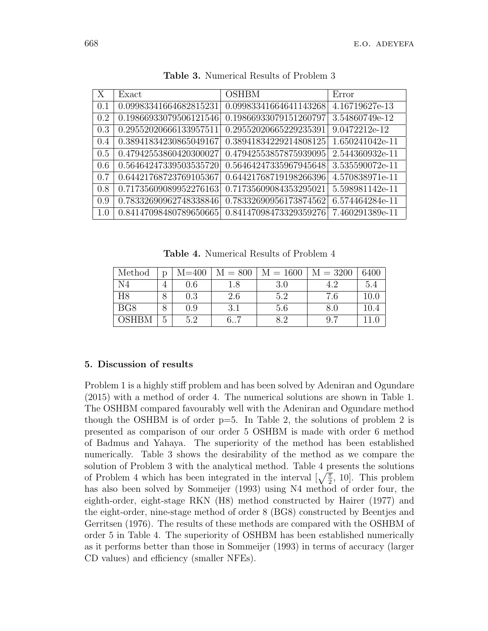| X   | Exact                  | <b>OSHBM</b>           | Error           |
|-----|------------------------|------------------------|-----------------|
| 0.1 | 0.09983341664682815231 | 0.09983341664641143268 | 4.16719627e-13  |
| 0.2 | 0.19866933079506121546 | 0.19866933079151260797 | 3.54860749e-12  |
| 0.3 | 0.29552020666133957511 | 0.29552020665229235391 | 9.0472212e-12   |
| 0.4 | 0.38941834230865049167 | 0.38941834229214808125 | 1.650241042e-11 |
| 0.5 | 0.47942553860420300027 | 0.47942553857875939095 | 2.544360932e-11 |
| 0.6 | 0.56464247339503535720 | 0.56464247335967945648 | 3.535590072e-11 |
| 0.7 | 0.64421768723769105367 | 0.64421768719198266396 | 4.570838971e-11 |
| 0.8 | 0.71735609089952276163 | 0.71735609084353295021 | 5.598981142e-11 |
| 0.9 | 0.78332690962748338846 | 0.78332690956173874562 | 6.574464284e-11 |
| 1.0 | 0.84147098480789650665 | 0.84147098473329359276 | 7.460291389e-11 |

Table 3. Numerical Results of Problem 3

Table 4. Numerical Results of Problem 4

| Method          | D | $M = 400$ | $M = 800$ | $M = 1600$ | $M = 3200$ | 6400     |
|-----------------|---|-----------|-----------|------------|------------|----------|
|                 | 4 | $0.6\,$   | .8        | 3.0        |            | 5.4      |
| H <sub>8</sub>  |   | 0.3       | 2.6       | 5.2        | 7.6        | $10.0\,$ |
| BG <sub>8</sub> | 8 | $0.9\,$   | 3.1       | 5.6        | 8.0        | 10.4     |
| OSHBM           | G | 5.2       |           |            | 9.7        |          |

# 5. Discussion of results

Problem 1 is a highly stiff problem and has been solved by Adeniran and Ogundare (2015) with a method of order 4. The numerical solutions are shown in Table 1. The OSHBM compared favourably well with the Adeniran and Ogundare method though the OSHBM is of order p=5. In Table 2, the solutions of problem 2 is presented as comparison of our order 5 OSHBM is made with order 6 method of Badmus and Yahaya. The superiority of the method has been established numerically. Table 3 shows the desirability of the method as we compare the solution of Problem 3 with the analytical method. Table 4 presents the solutions of Problem 4 which has been integrated in the interval  $\left[\sqrt{\frac{\pi}{2}}, 10\right]$ . This problem has also been solved by Sommeijer (1993) using N4 method of order four, the eighth-order, eight-stage RKN (H8) method constructed by Hairer (1977) and the eight-order, nine-stage method of order 8 (BG8) constructed by Beentjes and Gerritsen (1976). The results of these methods are compared with the OSHBM of order 5 in Table 4. The superiority of OSHBM has been established numerically as it performs better than those in Sommeijer (1993) in terms of accuracy (larger CD values) and efficiency (smaller NFEs).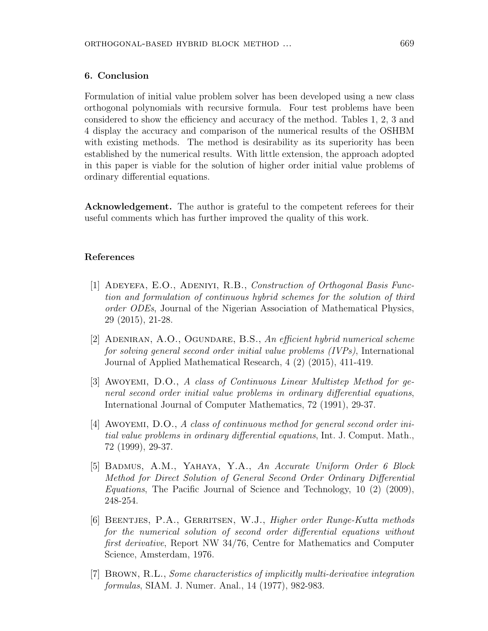## 6. Conclusion

Formulation of initial value problem solver has been developed using a new class orthogonal polynomials with recursive formula. Four test problems have been considered to show the efficiency and accuracy of the method. Tables 1, 2, 3 and 4 display the accuracy and comparison of the numerical results of the OSHBM with existing methods. The method is desirability as its superiority has been established by the numerical results. With little extension, the approach adopted in this paper is viable for the solution of higher order initial value problems of ordinary differential equations.

Acknowledgement. The author is grateful to the competent referees for their useful comments which has further improved the quality of this work.

## References

- [1] Adeyefa, E.O., Adeniyi, R.B., Construction of Orthogonal Basis Function and formulation of continuous hybrid schemes for the solution of third order ODEs, Journal of the Nigerian Association of Mathematical Physics, 29 (2015), 21-28.
- [2] ADENIRAN, A.O., OGUNDARE, B.S., An efficient hybrid numerical scheme for solving general second order initial value problems (IVPs), International Journal of Applied Mathematical Research, 4 (2) (2015), 411-419.
- [3] Awoyemi, D.O., A class of Continuous Linear Multistep Method for general second order initial value problems in ordinary differential equations, International Journal of Computer Mathematics, 72 (1991), 29-37.
- [4] AWOYEMI, D.O., A class of continuous method for general second order initial value problems in ordinary differential equations, Int. J. Comput. Math., 72 (1999), 29-37.
- [5] BADMUS, A.M., YAHAYA, Y.A., An Accurate Uniform Order 6 Block Method for Direct Solution of General Second Order Ordinary Differential Equations, The Pacific Journal of Science and Technology, 10 (2) (2009), 248-254.
- [6] BEENTJES, P.A., GERRITSEN, W.J., *Higher order Runge-Kutta methods* for the numerical solution of second order differential equations without first derivative, Report NW 34/76, Centre for Mathematics and Computer Science, Amsterdam, 1976.
- [7] Brown, R.L., Some characteristics of implicitly multi-derivative integration formulas, SIAM. J. Numer. Anal., 14 (1977), 982-983.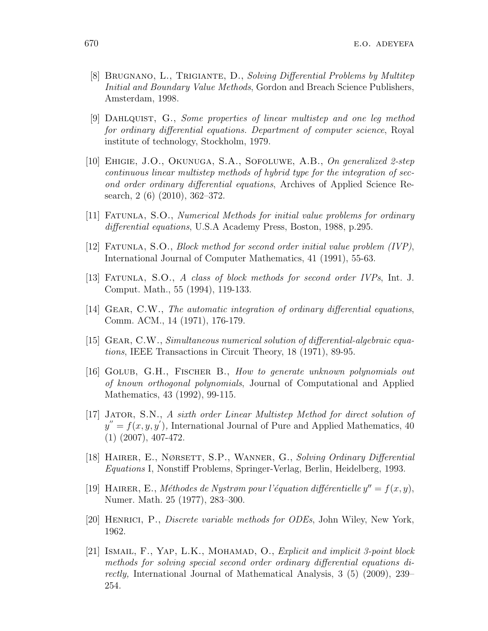- [8] BRUGNANO, L., TRIGIANTE, D., Solving Differential Problems by Multitep Initial and Boundary Value Methods, Gordon and Breach Science Publishers, Amsterdam, 1998.
- [9] Dahlquist, G., Some properties of linear multistep and one leg method for ordinary differential equations. Department of computer science, Royal institute of technology, Stockholm, 1979.
- [10] Ehigie, J.O., Okunuga, S.A., Sofoluwe, A.B., On generalized 2-step continuous linear multistep methods of hybrid type for the integration of second order ordinary differential equations, Archives of Applied Science Research, 2 (6) (2010), 362–372.
- [11] Fatunla, S.O., Numerical Methods for initial value problems for ordinary differential equations, U.S.A Academy Press, Boston, 1988, p.295.
- [12] Fatunla, S.O., Block method for second order initial value problem (IVP), International Journal of Computer Mathematics, 41 (1991), 55-63.
- [13] Fatunla, S.O., A class of block methods for second order IVPs, Int. J. Comput. Math., 55 (1994), 119-133.
- [14] Gear, C.W., The automatic integration of ordinary differential equations, Comm. ACM., 14 (1971), 176-179.
- [15] Gear, C.W., Simultaneous numerical solution of differential-algebraic equations, IEEE Transactions in Circuit Theory, 18 (1971), 89-95.
- [16] Golub, G.H., Fischer B., How to generate unknown polynomials out of known orthogonal polynomials, Journal of Computational and Applied Mathematics, 43 (1992), 99-115.
- [17] Jator, S.N., A sixth order Linear Multistep Method for direct solution of  $y'' = f(x, y, y')$ , International Journal of Pure and Applied Mathematics, 40 (1) (2007), 407-472.
- [18] Hairer, E., Nørsett, S.P., Wanner, G., Solving Ordinary Differential Equations I, Nonstiff Problems, Springer-Verlag, Berlin, Heidelberg, 1993.
- [19] HAIRER, E., Méthodes de Nystrøm pour l'équation différentielle  $y'' = f(x, y)$ , Numer. Math. 25 (1977), 283–300.
- [20] Henrici, P., Discrete variable methods for ODEs, John Wiley, New York, 1962.
- [21] ISMAIL, F., YAP, L.K., MOHAMAD, O., *Explicit and implicit 3-point block* methods for solving special second order ordinary differential equations directly, International Journal of Mathematical Analysis, 3 (5) (2009), 239– 254.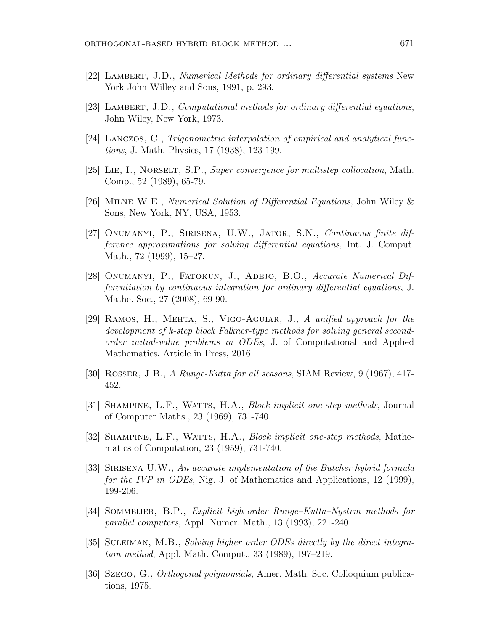- [22] LAMBERT, J.D., Numerical Methods for ordinary differential systems New York John Willey and Sons, 1991, p. 293.
- [23] LAMBERT, J.D., Computational methods for ordinary differential equations, John Wiley, New York, 1973.
- [24] Lanczos, C., Trigonometric interpolation of empirical and analytical functions, J. Math. Physics, 17 (1938), 123-199.
- [25] Lie, I., Norselt, S.P., Super convergence for multistep collocation, Math. Comp., 52 (1989), 65-79.
- [26] Milne W.E., Numerical Solution of Differential Equations, John Wiley & Sons, New York, NY, USA, 1953.
- [27] Onumanyi, P., Sirisena, U.W., Jator, S.N., Continuous finite difference approximations for solving differential equations, Int. J. Comput. Math., 72 (1999), 15–27.
- [28] ONUMANYI, P., FATOKUN, J., ADEJO, B.O., Accurate Numerical Differentiation by continuous integration for ordinary differential equations, J. Mathe. Soc., 27 (2008), 69-90.
- [29] Ramos, H., Mehta, S., Vigo-Aguiar, J., A unified approach for the development of k-step block Falkner-type methods for solving general secondorder initial-value problems in ODEs, J. of Computational and Applied Mathematics. Article in Press, 2016
- [30] Rosser, J.B., A Runge-Kutta for all seasons, SIAM Review, 9 (1967), 417- 452.
- [31] Shampine, L.F., Watts, H.A., Block implicit one-step methods, Journal of Computer Maths., 23 (1969), 731-740.
- [32] SHAMPINE, L.F., WATTS, H.A., *Block implicit one-step methods*, Mathematics of Computation, 23 (1959), 731-740.
- [33] SIRISENA U.W., An accurate implementation of the Butcher hybrid formula for the IVP in ODEs, Nig. J. of Mathematics and Applications, 12 (1999), 199-206.
- [34] Sommeijer, B.P., Explicit high-order Runge–Kutta–Nystrm methods for parallel computers, Appl. Numer. Math., 13 (1993), 221-240.
- [35] Suleiman, M.B., Solving higher order ODEs directly by the direct integration method, Appl. Math. Comput., 33 (1989), 197–219.
- [36] Szego, G., Orthogonal polynomials, Amer. Math. Soc. Colloquium publications, 1975.